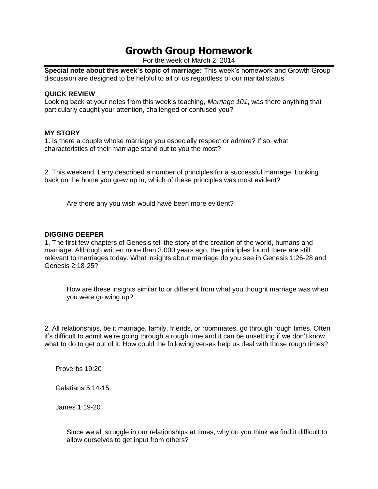# **Growth Group Homework**

For the week of March 2, 2014

**Special note about this week's topic of marriage:** This week's homework and Growth Group discussion are designed to be helpful to all of us regardless of our marital status.

## **QUICK REVIEW**

Looking back at your notes from this week's teaching*, Marriage 101*, was there anything that particularly caught your attention, challenged or confused you?

## **MY STORY**

1**.** Is there a couple whose marriage you especially respect or admire? If so, what characteristics of their marriage stand out to you the most?

2. This weekend, Larry described a number of principles for a successful marriage. Looking back on the home you grew up in, which of these principles was most evident?

Are there any you wish would have been more evident?

## **DIGGING DEEPER**

1. The first few chapters of Genesis tell the story of the creation of the world, humans and marriage. Although written more than 3,000 years ago, the principles found there are still relevant to marriages today. What insights about marriage do you see in Genesis 1:26-28 and Genesis 2:18-25?

How are these insights similar to or different from what you thought marriage was when you were growing up?

2. All relationships, be it marriage, family, friends, or roommates, go through rough times. Often it's difficult to admit we're going through a rough time and it can be unsettling if we don't know what to do to get out of it. How could the following verses help us deal with those rough times?

Proverbs 19:20

Galatians 5:14-15

James 1:19-20

Since we all struggle in our relationships at times, why do you think we find it difficult to allow ourselves to get input from others?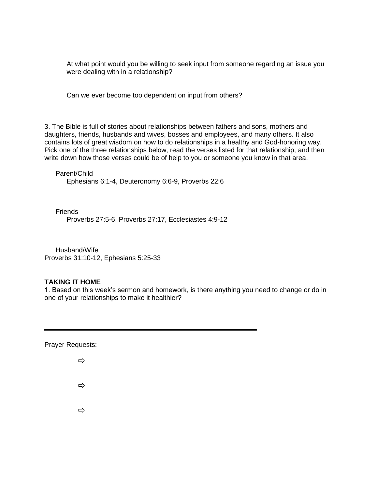At what point would you be willing to seek input from someone regarding an issue you were dealing with in a relationship?

Can we ever become too dependent on input from others?

3. The Bible is full of stories about relationships between fathers and sons, mothers and daughters, friends, husbands and wives, bosses and employees, and many others. It also contains lots of great wisdom on how to do relationships in a healthy and God-honoring way. Pick one of the three relationships below, read the verses listed for that relationship, and then write down how those verses could be of help to you or someone you know in that area.

Parent/Child Ephesians 6:1-4, Deuteronomy 6:6-9, Proverbs 22:6

**Friends** Proverbs 27:5-6, Proverbs 27:17, Ecclesiastes 4:9-12

Husband/Wife Proverbs 31:10-12, Ephesians 5:25-33

## **TAKING IT HOME**

1. Based on this week's sermon and homework, is there anything you need to change or do in one of your relationships to make it healthier?

Prayer Requests:

 $\Rightarrow$  $\Rightarrow$ 

 $\Rightarrow$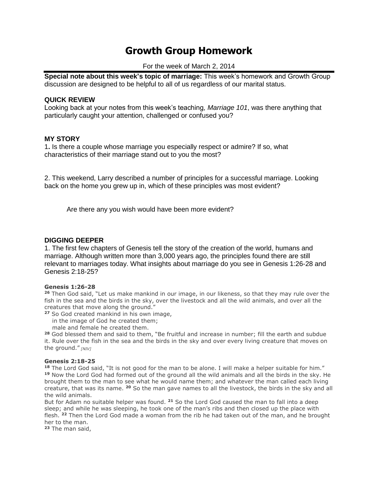# **Growth Group Homework**

For the week of March 2, 2014

**Special note about this week's topic of marriage:** This week's homework and Growth Group discussion are designed to be helpful to all of us regardless of our marital status.

#### **QUICK REVIEW**

Looking back at your notes from this week's teaching*, Marriage 101*, was there anything that particularly caught your attention, challenged or confused you?

## **MY STORY**

1**.** Is there a couple whose marriage you especially respect or admire? If so, what characteristics of their marriage stand out to you the most?

2. This weekend, Larry described a number of principles for a successful marriage. Looking back on the home you grew up in, which of these principles was most evident?

Are there any you wish would have been more evident?

## **DIGGING DEEPER**

1. The first few chapters of Genesis tell the story of the creation of the world, humans and marriage. Although written more than 3,000 years ago, the principles found there are still relevant to marriages today. What insights about marriage do you see in Genesis 1:26-28 and Genesis 2:18-25?

#### **Genesis 1:26-28**

**<sup>26</sup>** Then God said, "Let us make mankind in our image, in our likeness, so that they may rule over the fish in the sea and the birds in the sky, over the livestock and all the wild animals, and over all the creatures that move along the ground."

- **<sup>27</sup>** So God created mankind in his own image,
	- in the image of God he created them;
	- male and female he created them.

**<sup>28</sup>** God blessed them and said to them, "Be fruitful and increase in number; fill the earth and subdue it. Rule over the fish in the sea and the birds in the sky and over every living creature that moves on the ground." *[NIV]*

#### **Genesis 2:18-25**

**<sup>18</sup>** The Lord God said, "It is not good for the man to be alone. I will make a helper suitable for him." **<sup>19</sup>** Now the Lord God had formed out of the ground all the wild animals and all the birds in the sky. He brought them to the man to see what he would name them; and whatever the man called each living creature, that was its name. **<sup>20</sup>** So the man gave names to all the livestock, the birds in the sky and all the wild animals.

But for Adam no suitable helper was found. **<sup>21</sup>** So the Lord God caused the man to fall into a deep sleep; and while he was sleeping, he took one of the man's ribs and then closed up the place with flesh. **<sup>22</sup>** Then the Lord God made a woman from the rib he had taken out of the man, and he brought her to the man.

**<sup>23</sup>** The man said,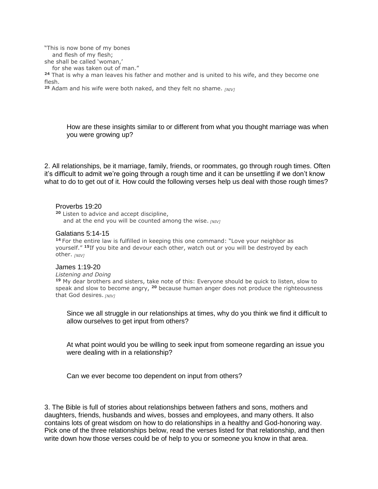"This is now bone of my bones

and flesh of my flesh;

she shall be called 'woman,'

for she was taken out of man."

**<sup>24</sup>** That is why a man leaves his father and mother and is united to his wife, and they become one flesh.

**<sup>25</sup>** Adam and his wife were both naked, and they felt no shame. *[NIV]*

How are these insights similar to or different from what you thought marriage was when you were growing up?

2. All relationships, be it marriage, family, friends, or roommates, go through rough times. Often it's difficult to admit we're going through a rough time and it can be unsettling if we don't know what to do to get out of it. How could the following verses help us deal with those rough times?

#### Proverbs 19:20

**<sup>20</sup>** Listen to advice and accept discipline, and at the end you will be counted among the wise. *[NIV]*

#### Galatians 5:14-15

**<sup>14</sup>** For the entire law is fulfilled in keeping this one command: "Love your neighbor as yourself." **<sup>15</sup>**If you bite and devour each other, watch out or you will be destroyed by each other. *[NIV]*

#### James 1:19-20

*Listening and Doing* **<sup>19</sup>** My dear brothers and sisters, take note of this: Everyone should be quick to listen, slow to speak and slow to become angry, **<sup>20</sup>** because human anger does not produce the righteousness that God desires. *[NIV]*

Since we all struggle in our relationships at times, why do you think we find it difficult to allow ourselves to get input from others?

At what point would you be willing to seek input from someone regarding an issue you were dealing with in a relationship?

Can we ever become too dependent on input from others?

3. The Bible is full of stories about relationships between fathers and sons, mothers and daughters, friends, husbands and wives, bosses and employees, and many others. It also contains lots of great wisdom on how to do relationships in a healthy and God-honoring way. Pick one of the three relationships below, read the verses listed for that relationship, and then write down how those verses could be of help to you or someone you know in that area.